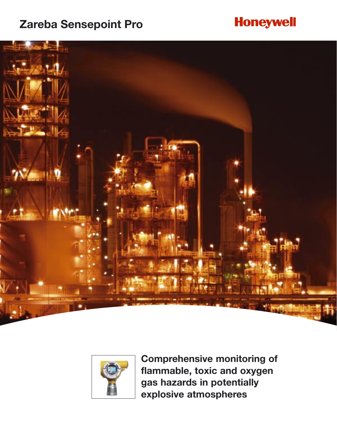## **Zareba Sensepoint Pro**

## **Honeywell**





**Comprehensive monitoring of flammable, toxic and oxygen gas hazards in potentially explosive atmospheres**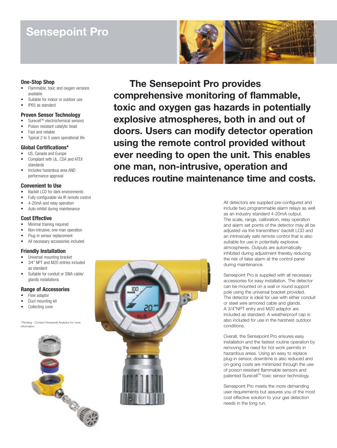## **Sensepoint Pro**



#### **One-Stop Shop**

- Flammable, toxic and oxygen versions available
- Suitable for indoor or outdoor use
- IP65asstandard

#### **Proven Sensor Technology**

- Surecell™ electrochemical sensors
- Poison resistant catalytic bead
- Fast and reliable
- Typical 2 to 5 years operational life

#### **GlobalCertifications\***

- US, Canada and Europe
- Compliant with UL, CSA and ATEX standards
- Includes hazardous area AND performance approval

#### **Convenient to Use**

- Backlit LCD for dark environments
- Fully configurable via IR remote control
- 4-20mA and relay operation
- Auto-inhibit during maintenance

#### **Cost Effective**

- Minimal training required
- Non-intrusive, one-man operation
- Plug-in sensor replacement
- All necessary accessories included

#### **Friendly Installation**

- Universal mounting bracket
- 3/4" NPT and M20 entries included as standard
- Suitable for conduit or SWA cable/ glands installations

#### **Range of Accessories**

- Flow adaptor
- Duct mounting kit
- Collecting cone

\*Pending - Contact Honeywell Analytics for more information



**The Sensepoint Pro provides comprehensive monitoring of flammable, toxic and oxygen gas hazards in potentially explosive atmospheres, both in and out of doors. Users can modify detector operation using the remote control provided without ever needing to open the unit. This enables one man, non-intrusive, operation and reduces routine maintenance time and costs.**

> All detectors are supplied pre-configured and include two programmable alarm relays as well as an industry standard 4-20mA output. The scale, range, calibration, relay operation and alarm set points of the detector may all be adjusted via the transmitters' backlit LCD and an intrinsically safe remote control that is also suitable for use in potentially explosive atmospheres. Outputs are automatically inhibited during adjustment thereby reducing the risk of false alarm at the control panel during maintenance.

> Sensepoint Pro is supplied with all necessary accessories for easy installation. The detector can be mounted on a wall or round support pole using the universal bracket provided. The detector is ideal for use with either conduit or steel wire armored cable and glands. A 3/4"NPT entry and M20 adaptor are included as standard. A weatherproof cap is also included for use in the harshest outdoor conditions.

Overall, the Sensepoint Pro ensures easy installation and the fastest routine operation by removing the need for hot work permits in hazardous areas. Using an easy to replace plug-in sensor, downtime is also reduced and on-going costs are minimized through the use of poison resistant flammable sensors and patented Surecell™ toxic sensor technology.

Sensepoint Pro meets the more demanding user requirements but assures you of the most cost effective solution to your gas detection needs in the long run.

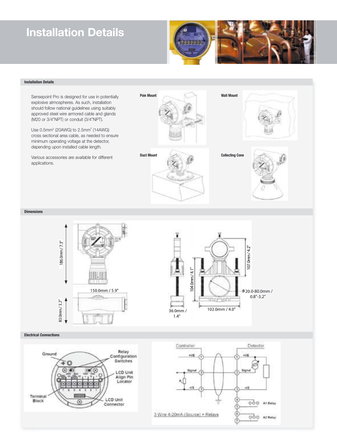## **Installation Details**



#### **Installation Details**





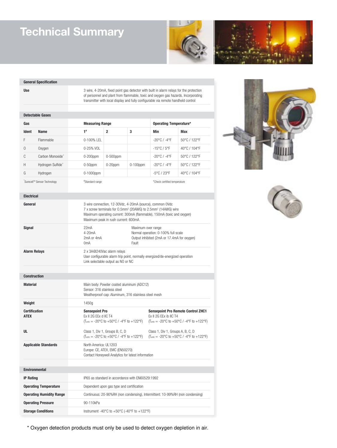## **Technical Summary**





#### **General Specification**

**Use** 3 wire, 4-20mA, fixed point gas detector with built in alarm relays for the protection of personnel and plant from flammable, toxic and oxygen gas hazards. Incorporating transmitter with local display and fully configurable via remote handheld control

#### **Detectable Gases**

| Gas                         |                               | <b>Measuring Range</b> |                |             | <b>Operating Temperature*</b>    |              |
|-----------------------------|-------------------------------|------------------------|----------------|-------------|----------------------------------|--------------|
| Ident                       | <b>Name</b>                   | $1^{\sharp}$           | $\overline{2}$ | 3           | Min                              | Max          |
| F                           | Flammable                     | $0-100%$ IFI           |                |             | $-20^{\circ}$ C / $-4^{\circ}$ F | 50°C / 122°F |
| $\mathbf{0}$                | Oxygen                        | $0 - 25%$ VOI          |                |             | $-15^{\circ}$ C / $5^{\circ}$ F  | 40°C / 104°F |
| C                           | Carbon Monoxide <sup>+</sup>  | $0-200$ ppm            | $0-500$ ppm    |             | $-20^{\circ}$ C / $-4^{\circ}$ F | 50°C / 122°F |
| Н                           | Hydrogen Sulfide <sup>+</sup> | $0-50$ ppm             | $0-20$ ppm     | $0-100$ ppm | $-20^{\circ}$ C / $-4^{\circ}$ F | 50°C / 122°F |
| G                           | Hydrogen                      | $0-1000$ ppm           |                |             | $-5^{\circ}$ C / 23 $^{\circ}$ F | 40°C / 104°F |
| Surecell™ Sensor Technology |                               | #Standard range        |                |             | *Check certified temperature     |              |





| <b>Electrical</b>                   |                                                                                                                                                                                                                                                                     |  |  |  |  |
|-------------------------------------|---------------------------------------------------------------------------------------------------------------------------------------------------------------------------------------------------------------------------------------------------------------------|--|--|--|--|
| General                             | 3 wire connection, 12-30Vdc, 4-20mA (source), common 0Vdc<br>7 x screw terminals for 0.5mm <sup>2</sup> (20AWG) to 2.5mm <sup>2</sup> (14AWG) wire<br>Maximum operating current: 300mA (flammable), 150mA (toxic and oxygen)<br>Maximum peak in rush current: 600mA |  |  |  |  |
| <b>Signal</b>                       | 22mA<br>Maximum over range<br>$4-20mA$<br>Normal operation: 0-100% full scale<br>2mA or 4mA<br>Output inhibited (2mA or 17.4mA for oxygen)<br>0 <sub>m</sub> A<br>Fault                                                                                             |  |  |  |  |
| <b>Alarm Relays</b>                 | 2 x 3A@240Vac alarm relays<br>User configurable alarm trip point, normally energized/de-energized operation<br>Link selectable output as NO or NC                                                                                                                   |  |  |  |  |
|                                     |                                                                                                                                                                                                                                                                     |  |  |  |  |
| <b>Construction</b>                 |                                                                                                                                                                                                                                                                     |  |  |  |  |
| <b>Material</b>                     | Main body: Powder coated aluminum (ADC12)<br>Sensor: 316 stainless steel<br>Weatherproof cap: Aluminum, 316 stainless steel mesh                                                                                                                                    |  |  |  |  |
| Weight                              | 1450g                                                                                                                                                                                                                                                               |  |  |  |  |
| <b>Certification</b><br><b>ATEX</b> | <b>Sensepoint Pro</b><br><b>Sensepoint Pro Remote Control ZHC1</b><br>Ex II 2G EEx d IIC T4<br>Ex II 2G EEx ib IIC T4<br>$(T_{amb} = -20^{\circ}C$ to $+50^{\circ}C$ / -4°F to $+122^{\circ}F$ )<br>(T <sub>amb</sub> = -20°C to +50°C / -4°F to +122°F)            |  |  |  |  |
| UL                                  | Class 1, Div 1, Groups B, C, D<br>Class 1, Div 1, Groups A, B, C, D<br>$(T_{amb} = -20^{\circ}C \text{ to } +50^{\circ}C / -4^{\circ}F \text{ to } +122^{\circ}F)$<br>$(T_{amb} = -20^{\circ}C$ to $+50^{\circ}C$ / -4°F to $+122^{\circ}F$ )                       |  |  |  |  |
| <b>Applicable Standards</b>         | North America: UL1203<br>Europe: CE, ATEX, EMC (EN50270)<br>Contact Honeywell Analytics for latest information                                                                                                                                                      |  |  |  |  |
|                                     |                                                                                                                                                                                                                                                                     |  |  |  |  |
| <b>Environmental</b>                |                                                                                                                                                                                                                                                                     |  |  |  |  |
| <b>IP Rating</b>                    | IP65 as standard in accordance with EN60529:1992                                                                                                                                                                                                                    |  |  |  |  |
| <b>Operating Temperature</b>        | Dependent upon gas type and certification                                                                                                                                                                                                                           |  |  |  |  |
| <b>Operating Humidity Range</b>     | Continuous: 20-90%RH (non condensing), Intermittent: 10-99%RH (non condensing)                                                                                                                                                                                      |  |  |  |  |
| <b>Operating Pressure</b>           | 90-110kPa                                                                                                                                                                                                                                                           |  |  |  |  |
| <b>Storage Conditions</b>           | Instrument -40°C to +50°C (-40°F to +122°F)                                                                                                                                                                                                                         |  |  |  |  |

\* Oxygen detection products must only be used to detect oxygen depletion in air.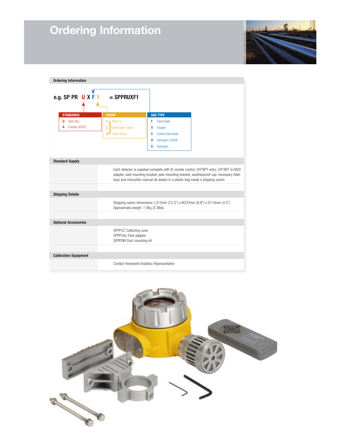# **Ordering Information**



| <b>Ordering Information</b>  |                                                                                                                                                                                                                                                                          |                              |  |  |  |  |  |
|------------------------------|--------------------------------------------------------------------------------------------------------------------------------------------------------------------------------------------------------------------------------------------------------------------------|------------------------------|--|--|--|--|--|
| e.g. SP PR UXF               | $=$ SPPRUXF1                                                                                                                                                                                                                                                             |                              |  |  |  |  |  |
| <b>STANDARDS</b>             | <b>RANGE</b>                                                                                                                                                                                                                                                             | <b>GAS TYPE</b>              |  |  |  |  |  |
| USA (UL)<br>U                | $1 -$ Refer to                                                                                                                                                                                                                                                           | Flammable<br>F               |  |  |  |  |  |
| Europe (ATEX)<br>A           | $\overline{2}$<br><b>Detectable Gases</b>                                                                                                                                                                                                                                | Oxygen<br>0                  |  |  |  |  |  |
|                              | $\overline{3}$ =<br><b>Table Above</b>                                                                                                                                                                                                                                   | Carbon Monoxide<br>c         |  |  |  |  |  |
|                              |                                                                                                                                                                                                                                                                          | <b>Hydrogen Sulfide</b><br>н |  |  |  |  |  |
|                              |                                                                                                                                                                                                                                                                          | G<br>Hydrogen                |  |  |  |  |  |
|                              |                                                                                                                                                                                                                                                                          |                              |  |  |  |  |  |
| <b>Standard Supply</b>       |                                                                                                                                                                                                                                                                          |                              |  |  |  |  |  |
|                              | Each detector is supplied complete with IS remote control, 3/4"NPT entry, 3/4"NPT to M20<br>adaptor, wall mounting bracket, pole mounting bracket, weatherproof cap, necessary Allen<br>keys and instruction manual all sealed in a plastic bag inside a shipping carton |                              |  |  |  |  |  |
| <b>Shipping Details</b>      |                                                                                                                                                                                                                                                                          |                              |  |  |  |  |  |
|                              | Shipping carton dimensions: L312mm (12.3") x W223mm (8.8") x D110mm (4.3")<br>Approximate weight: 1.5Kg (3.3llbs)                                                                                                                                                        |                              |  |  |  |  |  |
|                              |                                                                                                                                                                                                                                                                          |                              |  |  |  |  |  |
| <b>Optional Accessories</b>  |                                                                                                                                                                                                                                                                          |                              |  |  |  |  |  |
|                              | SPPPCC Collecting cone<br>SPPPCAL Flow adaptor<br>SPPPDM Duct mounting kit                                                                                                                                                                                               |                              |  |  |  |  |  |
|                              |                                                                                                                                                                                                                                                                          |                              |  |  |  |  |  |
| <b>Calibration Equipment</b> |                                                                                                                                                                                                                                                                          |                              |  |  |  |  |  |
|                              | Contact Honeywell Analytics Representative                                                                                                                                                                                                                               |                              |  |  |  |  |  |